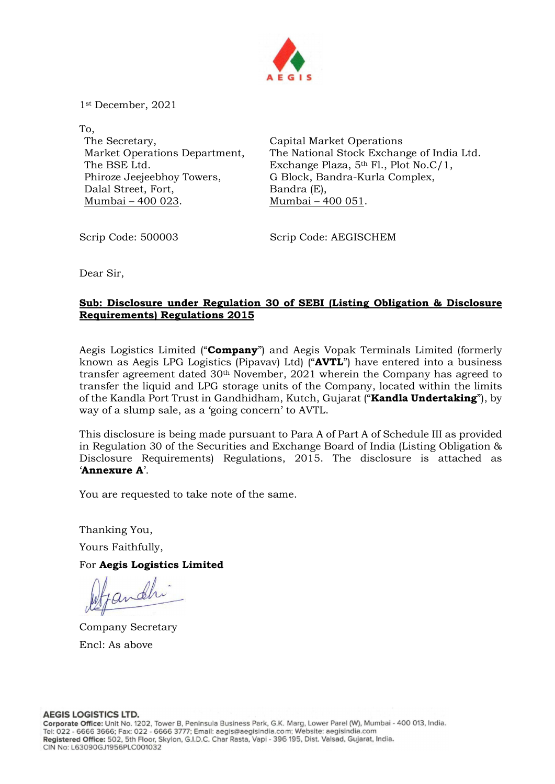

1st December, 2021

To, The Secretary, Market Operations Department, The BSE Ltd. Phiroze Jeejeebhoy Towers, Dalal Street, Fort, Mumbai – 400 023.

Capital Market Operations The National Stock Exchange of India Ltd. Exchange Plaza, 5th Fl., Plot No.C/1, G Block, Bandra-Kurla Complex, Bandra (E), Mumbai – 400 051.

Scrip Code: 500003 Scrip Code: AEGISCHEM

Dear Sir,

## Sub: Disclosure under Regulation 30 of SEBI (Listing Obligation & Disclosure Requirements) Regulations 2015

Aegis Logistics Limited ("Company") and Aegis Vopak Terminals Limited (formerly known as Aegis LPG Logistics (Pipavav) Ltd) ("AVTL") have entered into a business transfer agreement dated 30th November, 2021 wherein the Company has agreed to transfer the liquid and LPG storage units of the Company, located within the limits of the Kandla Port Trust in Gandhidham, Kutch, Gujarat ("**Kandla Undertaking**"), by way of a slump sale, as a 'going concern' to AVTL.

This disclosure is being made pursuant to Para A of Part A of Schedule III as provided in Regulation 30 of the Securities and Exchange Board of India (Listing Obligation & Disclosure Requirements) Regulations, 2015. The disclosure is attached as 'Annexure A'.

You are requested to take note of the same.

Thanking You, Yours Faithfully,

For Aegis Logistics Limited

Company Secretary Encl: As above

**AEGIS LOGISTICS LTD.**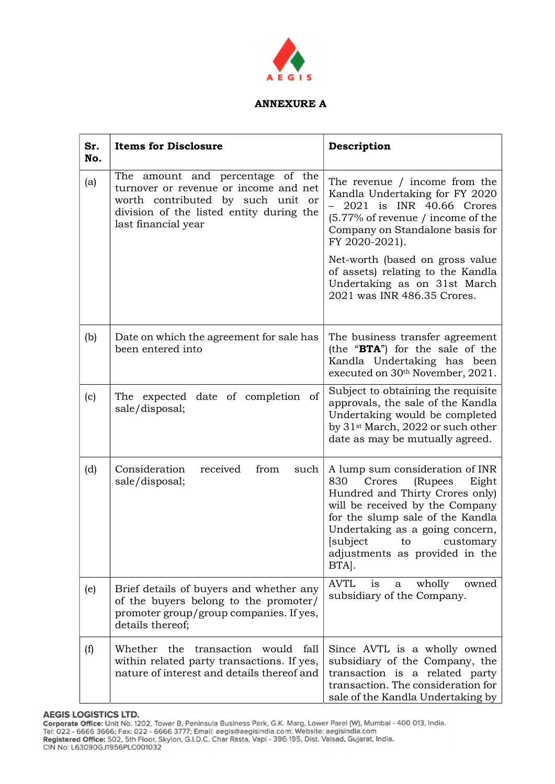

## **ANNEXURE A**

| Sr.<br>No. | <b>Items for Disclosure</b>                                                                                                                                                       | Description                                                                                                                                                                                                                                                                                                                                                 |
|------------|-----------------------------------------------------------------------------------------------------------------------------------------------------------------------------------|-------------------------------------------------------------------------------------------------------------------------------------------------------------------------------------------------------------------------------------------------------------------------------------------------------------------------------------------------------------|
| (a)        | The amount and percentage of the<br>turnover or revenue or income and net<br>worth contributed by such unit or<br>division of the listed entity during the<br>last financial year | The revenue / income from the<br>Kandla Undertaking for FY 2020<br>2021 is INR 40.66 Crores<br>$\overline{\phantom{0}}$<br>$(5.77\%$ of revenue / income of the<br>Company on Standalone basis for<br>FY 2020-2021).<br>Net-worth (based on gross value<br>of assets) relating to the Kandla<br>Undertaking as on 31st March<br>2021 was INR 486.35 Crores. |
| (b)        | Date on which the agreement for sale has<br>been entered into                                                                                                                     | The business transfer agreement<br>(the "BTA") for the sale of the<br>Kandla Undertaking has been<br>executed on 30th November, 2021.                                                                                                                                                                                                                       |
| (c)        | The expected date of completion of<br>sale/disposal;                                                                                                                              | Subject to obtaining the requisite<br>approvals, the sale of the Kandla<br>Undertaking would be completed<br>by 31 <sup>st</sup> March, 2022 or such other<br>date as may be mutually agreed.                                                                                                                                                               |
| (d)        | Consideration<br>received<br>from<br>such<br>sale/disposal;                                                                                                                       | A lump sum consideration of INR<br>830<br>Crores<br>(Rupees<br>Eight<br>Hundred and Thirty Crores only)<br>will be received by the Company<br>for the slump sale of the Kandla<br>Undertaking as a going concern,<br>[subject to<br>customary<br>adjustments as provided in the<br>BTA.                                                                     |
| (e)        | Brief details of buyers and whether any<br>of the buyers belong to the promoter/<br>promoter group/group companies. If yes,<br>details thereof;                                   | <b>AVTL</b><br>wholly<br>owned<br>1S<br>a<br>subsidiary of the Company.                                                                                                                                                                                                                                                                                     |
| (f)        | Whether the transaction<br>would<br>fall<br>within related party transactions. If yes,<br>nature of interest and details thereof and                                              | Since AVTL is a wholly owned<br>subsidiary of the Company, the<br>transaction is a related party<br>transaction. The consideration for<br>sale of the Kandla Undertaking by                                                                                                                                                                                 |

AEGIS LOGISTICS LTD.<br>Corporate Office: Unit No. 1202, Tower B, Peninsula Business Park, G.K. Marg, Lower Parel (W), Mumbai - 400 013, India.<br>Tel: 022 - 6666 3666; Fax: 022 - 6666 3777; Email: aegis@aegisindia.com; Website: